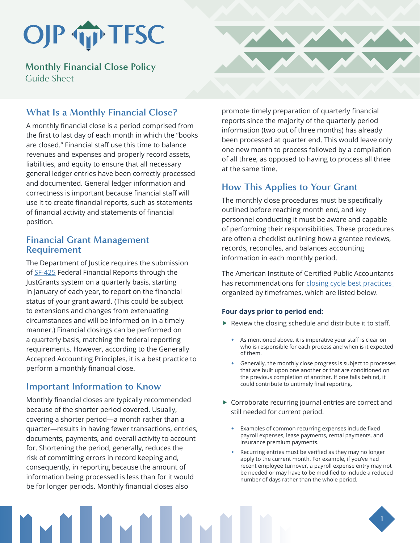# OJP TP TFSC

**Monthly Financial Close Policy**  Guide Sheet

## **What Is a Monthly Financial Close?**

A monthly financial close is a period comprised from the first to last day of each month in which the "books are closed." Financial staff use this time to balance revenues and expenses and properly record assets, liabilities, and equity to ensure that all necessary general ledger entries have been correctly processed and documented. General ledger information and correctness is important because financial staff will use it to create financial reports, such as statements of financial activity and statements of financial position.

### **Financial Grant Management Requirement**

The Department of Justice requires the submission of [SF-425](https://www.grants.gov/forms/post-award-reporting-forms.html) Federal Financial Reports through the JustGrants system on a quarterly basis, starting in January of each year, to report on the financial status of your grant award. (This could be subject to extensions and changes from extenuating circumstances and will be informed on in a timely manner.) Financial closings can be performed on a quarterly basis, matching the federal reporting requirements. However, according to the Generally Accepted Accounting Principles, it is a best practice to perform a monthly financial close.

### **Important Information to Know**

Monthly financial closes are typically recommended because of the shorter period covered. Usually, covering a shorter period—a month rather than a quarter—results in having fewer transactions, entries, documents, payments, and overall activity to account for. Shortening the period, generally, reduces the risk of committing errors in record keeping and, consequently, in reporting because the amount of information being processed is less than for it would be for longer periods. Monthly financial closes also



## **How This Applies to Your Grant**

The monthly close procedures must be specifically outlined before reaching month end, and key personnel conducting it must be aware and capable of performing their responsibilities. These procedures are often a checklist outlining how a grantee reviews, records, reconciles, and balances accounting information in each monthly period.

The American Institute of Certified Public Accountants has recommendations for closing cycle best practices organized by timeframes, which are listed below.

#### **Four days prior to period end:**

- $\blacktriangleright$  Review the closing schedule and distribute it to staff.
	- As mentioned above, it is imperative your staff is clear on who is responsible for each process and when is it expected of them.
	- Generally, the monthly close progress is subject to processes that are built upon one another or that are conditioned on the previous completion of another. If one falls behind, it could contribute to untimely final reporting.
- $\triangleright$  Corroborate recurring journal entries are correct and still needed for current period.
	- Examples of common recurring expenses include fixed payroll expenses, lease payments, rental payments, and insurance premium payments.
	- Recurring entries must be verified as they may no longer apply to the current month. For example, if you've had recent employee turnover, a payroll expense entry may not be needed or may have to be modified to include a reduced number of days rather than the whole period.

**1**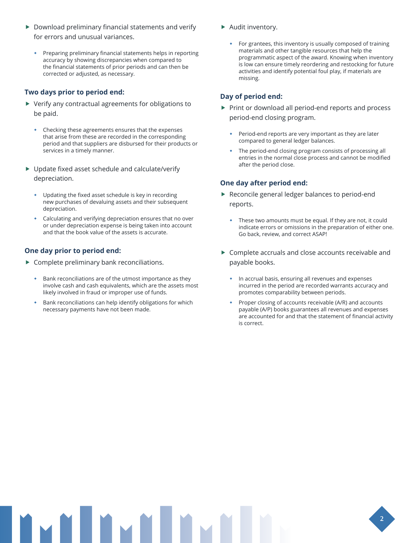- $\triangleright$  Download preliminary financial statements and verify for errors and unusual variances.
	- Preparing preliminary financial statements helps in reporting accuracy by showing discrepancies when compared to the financial statements of prior periods and can then be corrected or adjusted, as necessary.

#### **Two days prior to period end:**

- $\blacktriangleright$  Verify any contractual agreements for obligations to be paid.
	- Checking these agreements ensures that the expenses that arise from these are recorded in the corresponding period and that suppliers are disbursed for their products or services in a timely manner.
- $\blacktriangleright$  Update fixed asset schedule and calculate/verify depreciation.
	- Updating the fixed asset schedule is key in recording new purchases of devaluing assets and their subsequent depreciation.
	- Calculating and verifying depreciation ensures that no over or under depreciation expense is being taken into account and that the book value of the assets is accurate.

#### **One day prior to period end:**

- $\blacktriangleright$  Complete preliminary bank reconciliations.
	- Bank reconciliations are of the utmost importance as they involve cash and cash equivalents, which are the assets most likely involved in fraud or improper use of funds.
	- Bank reconciliations can help identify obligations for which necessary payments have not been made.
- $\blacktriangleright$  Audit inventory.
	- For grantees, this inventory is usually composed of training materials and other tangible resources that help the programmatic aspect of the award. Knowing when inventory is low can ensure timely reordering and restocking for future activities and identify potential foul play, if materials are missing.

#### **Day of period end:**

- $\blacktriangleright$  Print or download all period-end reports and process period-end closing program.
	- Period-end reports are very important as they are later compared to general ledger balances.
	- The period-end closing program consists of processing all entries in the normal close process and cannot be modified after the period close.

#### **One day after period end:**

- $\blacktriangleright$  Reconcile general ledger balances to period-end reports.
	- These two amounts must be equal. If they are not, it could indicate errors or omissions in the preparation of either one. Go back, review, and correct ASAP!
- $\triangleright$  Complete accruals and close accounts receivable and payable books.
	- In accrual basis, ensuring all revenues and expenses incurred in the period are recorded warrants accuracy and promotes comparability between periods.
	- Proper closing of accounts receivable (A/R) and accounts payable (A/P) books guarantees all revenues and expenses are accounted for and that the statement of financial activity is correct.